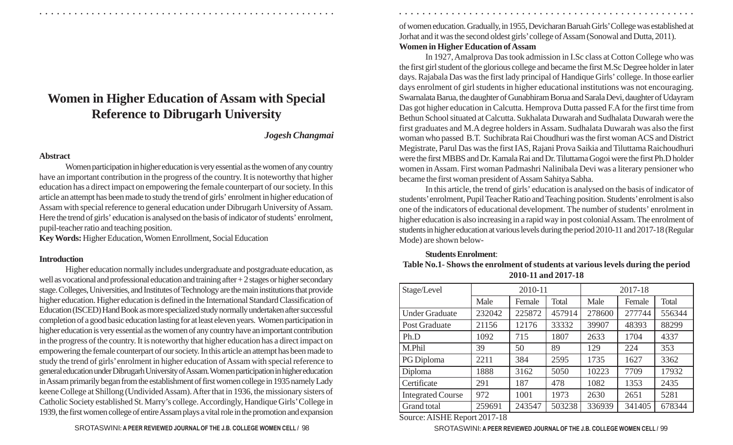# **Women in Higher Education of Assam with Special Reference to Dibrugarh University**

#### *Jogesh Changmai*

#### **Abstract**

Women participation in higher education is very essential as the women of any country have an important contribution in the progress of the country. It is noteworthy that higher education has a direct impact on empowering the female counterpart of our society. In this article an attempt has been made to study the trend of girls' enrolment in higher education of Assam with special reference to general education under Dibrugarh University of Assam. Here the trend of girls' education is analysed on the basis of indicator of students' enrolment, pupil-teacher ratio and teaching position.

**Key Words:** Higher Education, Women Enrollment, Social Education

## **Introduction**

Higher education normally includes undergraduate and postgraduate education, as well as vocational and professional education and training after + 2 stages or higher secondary stage. Colleges, Universities, and Institutes of Technology are the main institutions that provide higher education. Higher education is defined in the International Standard Classification of Education (ISCED) Hand Book as more specialized study normally undertaken after successful completion of a good basic education lasting for at least eleven years. Women participation in higher education is very essential as the women of any country have an important contribution in the progress of the country. It is noteworthy that higher education has a direct impact on empowering the female counterpart of our society. In this article an attempt has been made to study the trend of girls' enrolment in higher education of Assam with special reference to general education under Dibrugarh University of Assam. Women participation in higher education in Assam primarily began from the establishment of first women college in 1935 namely Lady keene College at Shillong (Undivided Assam). After that in 1936, the missionary sisters of Catholic Society established St. Marry's college. Accordingly, Handique Girls' College in 1939, the first women college of entire Assam plays a vital role in the promotion and expansion of women education. Gradually, in 1955, Devicharan Baruah Girls' College was established at Jorhat and it was the second oldest girls' college of Assam (Sonowal and Dutta, 2011). **Women in Higher Education of Assam**

○ ○ ○ ○ ○ ○ ○ ○ ○ ○ ○ ○ ○ ○ ○ ○ ○ ○ ○ ○ ○ ○ ○ ○ ○ ○ ○ ○ ○ ○ ○ ○ ○ ○ ○ ○ ○ ○ ○ ○ ○ ○ ○ ○ ○ ○ ○ ○ ○ ○ ○ ○ ○ ○ ○ ○ ○ ○ ○ ○ ○ ○ ○ ○ ○ ○ ○ ○ ○ ○ ○ ○ ○ ○ ○ ○ ○ ○ ○ ○ ○ ○ ○ ○ ○ ○ ○ ○ ○ ○ ○ ○ ○ ○ ○ ○ ○ ○ ○ ○ ○ ○

In 1927, Amalprova Das took admission in I.Sc class at Cotton College who was the first girl student of the glorious college and became the first M.Sc Degree holder in later days. Rajabala Das was the first lady principal of Handique Girls' college. In those earlier days enrolment of girl students in higher educational institutions was not encouraging. Swarnalata Barua, the daughter of Gunabhiram Borua and Sarala Devi, daughter of Udayram Das got higher education in Calcutta. Hemprova Dutta passed F.A for the first time from Bethun School situated at Calcutta. Sukhalata Duwarah and Sudhalata Duwarah were the first graduates and M.A degree holders in Assam. Sudhalata Duwarah was also the first woman who passed B.T. Suchibrata Rai Choudhuri was the first woman ACS and District Megistrate, Parul Das was the first IAS, Rajani Prova Saikia and Tiluttama Raichoudhuri were the first MBBS and Dr. Kamala Rai and Dr. Tiluttama Gogoi were the first Ph.D holder women in Assam. First woman Padmashri Nalinibala Devi was a literary pensioner who became the first woman president of Assam Sahitya Sabha.

In this article, the trend of girls' education is analysed on the basis of indicator of students' enrolment, Pupil Teacher Ratio and Teaching position. Students' enrolment is also one of the indicators of educational development. The number of students' enrolment in higher education is also increasing in a rapid way in post colonial Assam. The enrolment of students in higher education at various levels during the period 2010-11 and 2017-18 (Regular Mode) are shown below-

## **Students Enrolment**:

| Table No.1- Shows the enrolment of students at various levels during the period |
|---------------------------------------------------------------------------------|
| 2010-11 and 2017-18                                                             |

| Stage/Level              | 2010-11 |        |        | 2017-18 |        |              |
|--------------------------|---------|--------|--------|---------|--------|--------------|
|                          | Male    | Female | Total  | Male    | Female | <b>Total</b> |
| <b>Under Graduate</b>    | 232042  | 225872 | 457914 | 278600  | 277744 | 556344       |
| Post Graduate            | 21156   | 12176  | 33332  | 39907   | 48393  | 88299        |
| Ph.D                     | 1092    | 715    | 1807   | 2633    | 1704   | 4337         |
| M.Phil                   | 39      | 50     | 89     | 129     | 224    | 353          |
| PG Diploma               | 2211    | 384    | 2595   | 1735    | 1627   | 3362         |
| Diploma                  | 1888    | 3162   | 5050   | 10223   | 7709   | 17932        |
| Certificate              | 291     | 187    | 478    | 1082    | 1353   | 2435         |
| <b>Integrated Course</b> | 972     | 1001   | 1973   | 2630    | 2651   | 5281         |
| Grand total              | 259691  | 243547 | 503238 | 336939  | 341405 | 678344       |

Source: AISHE Report 2017-18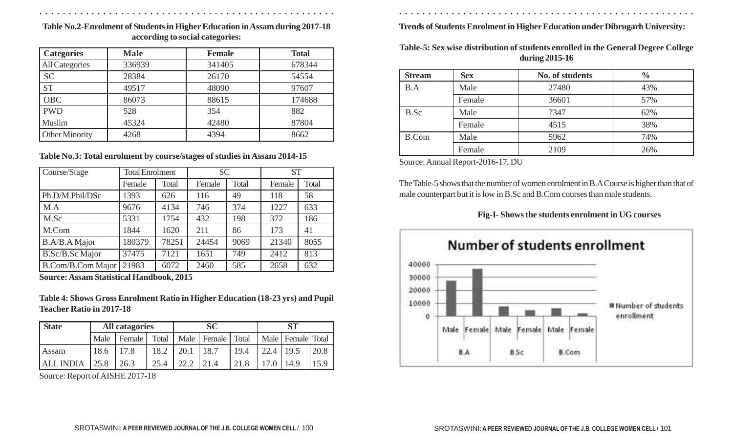○ ○ ○ ○ ○ ○ ○ ○ ○ ○ ○ ○ ○ ○ ○ ○ ○ ○ ○ ○ ○ ○ ○ ○ ○ ○ ○ ○ ○ ○ ○ ○ ○ ○ ○ ○ ○ ○ ○ ○ ○ ○ ○ ○ ○ ○ ○ ○ ○ ○ ○ ○ ○ ○ ○ ○ ○ ○ ○ ○ ○ ○ ○ ○ ○ ○ ○ ○ ○ ○ ○ ○ ○ ○ ○ ○ ○ ○ ○ ○ ○ ○ ○ ○ ○ ○ ○ ○ ○ ○ ○ ○ ○ ○ ○ ○ ○ ○ ○ ○ ○ ○

**Table No.2-Enrolment of Students in Higher Education in Assam during 2017-18 according to social categories:**

| <b>Categories</b>     | <b>Male</b> | <b>Female</b> | <b>Total</b> |
|-----------------------|-------------|---------------|--------------|
| <b>All Categories</b> | 336939      | 341405        | 678344       |
| <b>SC</b>             | 28384       | 26170         | 54554        |
| <b>ST</b>             | 49517       | 48090         | 97607        |
| <b>OBC</b>            | 86073       | 88615         | 174688       |
| <b>PWD</b>            | 528         | 354           | 882          |
| Muslim                | 45324       | 42480         | 87804        |
| Other Minority        | 4268        | 4394          | 8662         |

## **Table No.3: Total enrolment by course/stages of studies in Assam 2014-15**

| Course/Stage      | <b>Total Enrolment</b> |       | <b>SC</b> |       | <b>ST</b> |       |
|-------------------|------------------------|-------|-----------|-------|-----------|-------|
|                   | Female                 | Total | Female    | Total | Female    | Total |
| Ph.D/M.Phil/DSc   | 1393                   | 626   | 116       | 49    | 118       | 58    |
| M.A               | 9676                   | 4134  | 746       | 374   | 1227      | 633   |
| M.Sc              | 5331                   | 1754  | 432       | 198   | 372       | 186   |
| M.Com             | 1844                   | 1620  | 211       | 86    | 173       | 41    |
| B.A/B.A Major     | 180379                 | 78251 | 24454     | 9069  | 21340     | 8055  |
| B.Sc/B.Sc Major   | 37475                  | 7121  | 1651      | 749   | 2412      | 813   |
| B.Com/B.Com Major | 21983                  | 6072  | 2460      | 585   | 2658      | 632   |

**Source: Assam Statistical Handbook, 2015**

**Table 4: Shows Gross Enrolment Ratio in Higher Education (18-23 yrs) and Pupil Teacher Ratio in 2017-18**

| <b>State</b>     | <b>All catagories</b> |        | <b>SC</b> |      |                       | ST   |          |                       |      |
|------------------|-----------------------|--------|-----------|------|-----------------------|------|----------|-----------------------|------|
|                  | Male                  | Female | Total     |      | Male   Female   Total |      |          | Male   Female   Total |      |
| Assam            | 18.6                  | 17.8   | 18.2      | 20.1 | 18.7                  | 19.4 | 22.4     | 19.5                  | 20.8 |
| <b>ALL INDIA</b> | 125.8                 | 26.3   | 25.4      | 22.2 | 121.4                 | 21.8 | $17.0$ . | 14.9                  |      |

Source: Report of AISHE 2017-18

**Trends of Students Enrolment in Higher Education under Dibrugarh University:**

**Table-5: Sex wise distribution of students enrolled in the General Degree College during 2015-16**

| <b>Stream</b> | <b>Sex</b> | No. of students | $\frac{0}{0}$ |
|---------------|------------|-----------------|---------------|
| B.A           | Male       | 27480           | 43%           |
|               | Female     | 36601           | 57%           |
| B.Sc          | Male       | 7347            | 62%           |
|               | Female     | 4515            | 38%           |
| <b>B.Com</b>  | Male       | 5962            | 74%           |
|               | Female     | 2109            | 26%           |

Source: Annual Report-2016-17, DU

The Table-5 shows that the number of women enrolment in B.A Course is higher than that of male counterpart but it is low in B.Sc and B.Com courses than male students.

## **Fig-I- Shows the students enrolment in UG courses**

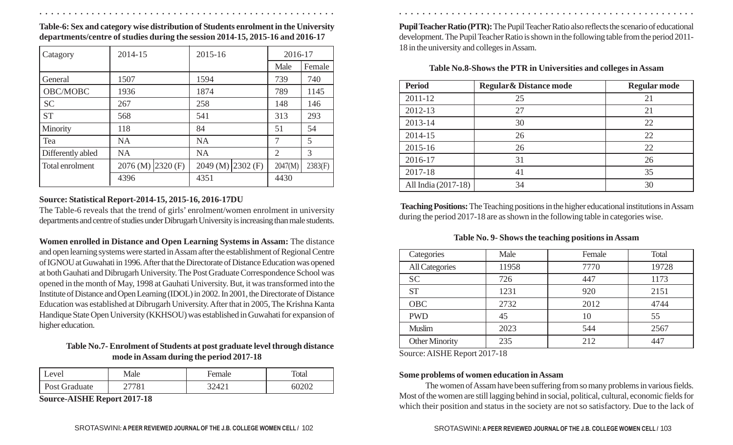**Table-6: Sex and category wise distribution of Students enrolment in the University departments/centre of studies during the session 2014-15, 2015-16 and 2016-17**

| Catagory          | 2014-15                              | 2015-16                | 2016-17 |         |
|-------------------|--------------------------------------|------------------------|---------|---------|
|                   |                                      |                        | Male    | Female  |
| General           | 1507                                 | 1594                   | 739     | 740     |
| OBC/MOBC          | 1936                                 | 1874                   | 789     | 1145    |
| <b>SC</b>         | 267                                  | 258                    | 148     | 146     |
| <b>ST</b>         | 568                                  | 541                    | 313     | 293     |
| Minority          | 118                                  | 84                     | 51      | 54      |
| Tea               | <b>NA</b>                            | <b>NA</b>              | 7       | 5       |
| Differently abled | <b>NA</b>                            | <b>NA</b>              | 2       | 3       |
| Total enrolment   | $2076$ (M) $\left  2320 \right $ (F) | $2049$ (M) $ 2302$ (F) | 2047(M) | 2383(F) |
|                   | 4396                                 | 4351                   | 4430    |         |

#### **Source: Statistical Report-2014-15, 2015-16, 2016-17DU**

The Table-6 reveals that the trend of girls' enrolment/women enrolment in university departments and centre of studies under Dibrugarh University is increasing than male students.

**Women enrolled in Distance and Open Learning Systems in Assam:** The distance and open learning systems were started in Assam after the establishment of Regional Centre of IGNOU at Guwahati in 1996. After that the Directorate of Distance Education was opened at both Gauhati and Dibrugarh University. The Post Graduate Correspondence School was opened in the month of May, 1998 at Gauhati University. But, it was transformed into the Institute of Distance and Open Learning (IDOL) in 2002. In 2001, the Directorate of Distance Education was established at Dibrugarh University. After that in 2005, The Krishna Kanta Handique State Open University (KKHSOU) was established in Guwahati for expansion of higher education.

## **Table No.7- Enrolment of Students at post graduate level through distance mode in Assam during the period 2017-18**

| Level         | Male | <b>Female</b> | <b>Total</b> |
|---------------|------|---------------|--------------|
| Post Graduate | 7701 | 32421         | OUZUZ        |

**Source-AISHE Report 2017-18**

**Pupil Teacher Ratio (PTR):** The Pupil Teacher Ratio also reflects the scenario of educational development. The Pupil Teacher Ratio is shown in the following table from the period 2011- 18 in the university and colleges in Assam.

| Table No.8-Shows the PTR in Universities and colleges in Assam |  |  |  |
|----------------------------------------------------------------|--|--|--|
|----------------------------------------------------------------|--|--|--|

| <b>Period</b>       | <b>Regular &amp; Distance mode</b> | <b>Regular mode</b> |
|---------------------|------------------------------------|---------------------|
| 2011-12             | 25                                 | 21                  |
| 2012-13             | 27                                 | 21                  |
| 2013-14             | 30                                 | 22                  |
| 2014-15             | 26                                 | 22                  |
| 2015-16             | 26                                 | 22                  |
| 2016-17             | 31                                 | 26                  |
| 2017-18             | 41                                 | 35                  |
| All India (2017-18) | 34                                 | 30                  |

 **Teaching Positions:** The Teaching positions in the higher educational institutions in Assam during the period 2017-18 are as shown in the following table in categories wise.

#### **Table No. 9- Shows the teaching positions in Assam**

| Categories            | Male  | Female | Total |
|-----------------------|-------|--------|-------|
| <b>All Categories</b> | 11958 | 7770   | 19728 |
| <b>SC</b>             | 726   | 447    | 1173  |
| <b>ST</b>             | 1231  | 920    | 2151  |
| <b>OBC</b>            | 2732  | 2012   | 4744  |
| <b>PWD</b>            | 45    | 10     | 55    |
| <b>Muslim</b>         | 2023  | 544    | 2567  |
| <b>Other Minority</b> | 235   | 212    | 447   |

Source: AISHE Report 2017-18

○ ○ ○ ○ ○ ○ ○ ○ ○ ○ ○ ○ ○ ○ ○ ○ ○ ○ ○ ○ ○ ○ ○ ○ ○ ○ ○ ○ ○ ○ ○ ○ ○ ○ ○ ○ ○ ○ ○ ○ ○ ○ ○ ○ ○ ○ ○ ○ ○ ○ ○ ○ ○ ○ ○ ○ ○ ○ ○ ○ ○ ○ ○ ○ ○ ○ ○ ○ ○ ○ ○ ○ ○ ○ ○ ○ ○ ○ ○ ○ ○ ○ ○ ○ ○ ○ ○ ○ ○ ○ ○ ○ ○ ○ ○ ○ ○ ○ ○ ○ ○ ○

## **Some problems of women education in Assam**

The women of Assam have been suffering from so many problems in various fields. Most of the women are still lagging behind in social, political, cultural, economic fields for which their position and status in the society are not so satisfactory. Due to the lack of